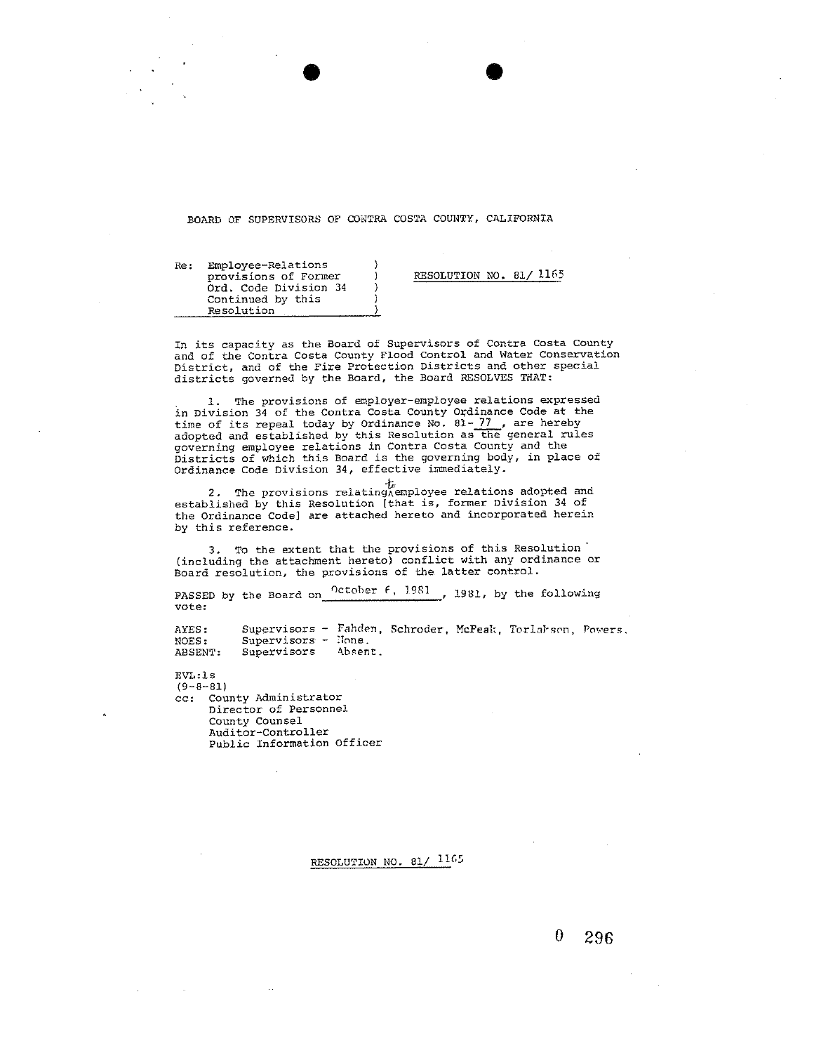#### BOARD OF SUPERVISORS OF CONTRA COSTA COUNTY, CALIFORNIA

Re: Employee-Relations provisions of Former Ord. Code Division 34 Continued by this Resolution

RESOLUTION NO. 81/1165

In its capacity as the Board of Supervisors of Contra Costa County and of the Contra Costa County Flood Control and Water Conservation District, and of the Fire Protection Districts and other special districts governed by the Board, the Board RESOLVES THAT:

The provisions of employer-employee relations expressed in Division 34 of the Contra Costa County Ordinance Code at the<br>time of its repeal today by Ordinance No. 81-77, are hereby adopted and established by this Resolution as the general rules governing employee relations in Contra Costa County and the Districts of which this Board is the governing body, in place of Ordinance Code Division 34, effective immediately.

2. The provisions relating<br>A employee relations adopted and established by this Resolution [that is, former Division 34 of the Ordinance Code] are attached hereto and incorporated herein by this reference.

3. To the extent that the provisions of this Resolution (including the attachment hereto) conflict with any ordinance or Board resolution, the provisions of the latter control.

PASSED by the Board on <sup>October  $f$ , 1981, 1981, by the following</sup> vote:

Supervisors - Fahden, Schroder, McPeak, Torlahson, Powers. AYES:  $Supervisors - None.$ NOES: ABSENT: Supervisors Absent.

 $EVI:1s$  $(9 - 8 - 81)$ cc: County Administrator Director of Personnel County Counsel Auditor-Controller Public Information Officer

## RESOLUTION NO. 81/ 1165

 $\theta$ 296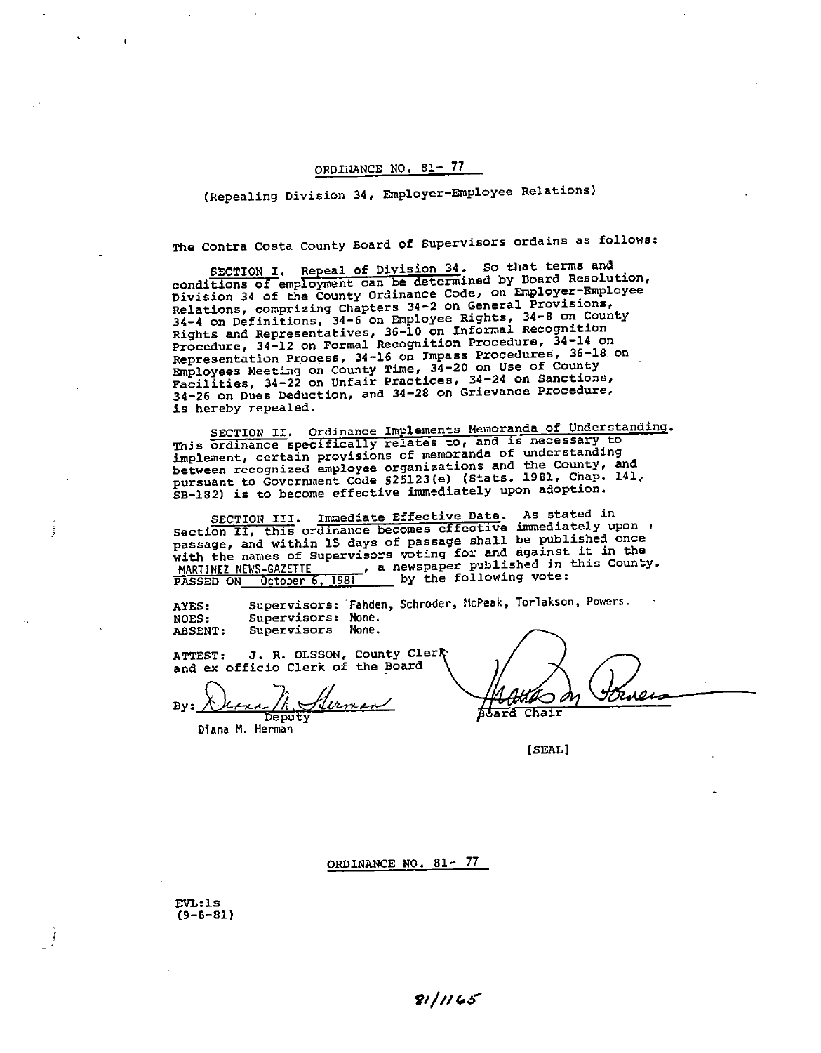(Repealing Division 34, Employer-Employee Relations)

The Contra Costa County Board of Supervisors ordains as follows:

SECTION I. Repeal of Division 34. So that terms and conditions of employment can be determined by Board Resolution, Division 34 of the County Ordinance Code, on Employer-Employee Relations, comprizing Chapters 34-2 on General Provisions, 34-4 on Definitions, 34-6 on Employee Rights, 34-8 on County<br>Rights and Representatives, 36-10 on Informal Recognition<br>Procedure, 34-12 on Formal Recognition Procedure, 34-14 on Representation Process, 34-16 on Impass Procedures, 36-18 on Employees Meeting on County Time, 34-20 on Use of County<br>Facilities, 34-22 on Unfair Practices, 34-24 on Sanctions,<br>34-26 on Dues Deduction, and 34-28 on Grievance Procedure, is hereby repealed.

SECTION II. Ordinance Implements Memoranda of Understanding. This ordinance specifically relates to, and is necessary to implement, certain provisions of memoranda of understanding between recognized employee organizations and the County, and pursuant to Government Code \$25123(e) (Stats. 1981, Chap. 141, SB-182) is to become effective immediately upon adoption.

SECTION III. Immediate Effective Date. As stated in<br>Section II, this ordinance becomes effective immediately upon passage, and within 15 days of passage shall be published once with the names of Supervisors voting for and against it in the MARTINEZ NEWS-GAZETTE , a newspaper published in this County.<br>PASSED ON October 6, 1981 by the following vote:

Supervisors: Fahden, Schroder, McPeak, Torlakson, Powers.<br>Supervisors: None. AYES: **NOES:** Supervisors None. ABSENT:

J. R. OLSSON, County Clerk ATTEST: and ex officio Clerk of the Board

 $Bv:$ Deputy

Diana M. Herman

**Board Chair** 

[SEAL]

## ORDINANCE NO. 81- 77

 $EW:1s$  $(9 - 8 - 81)$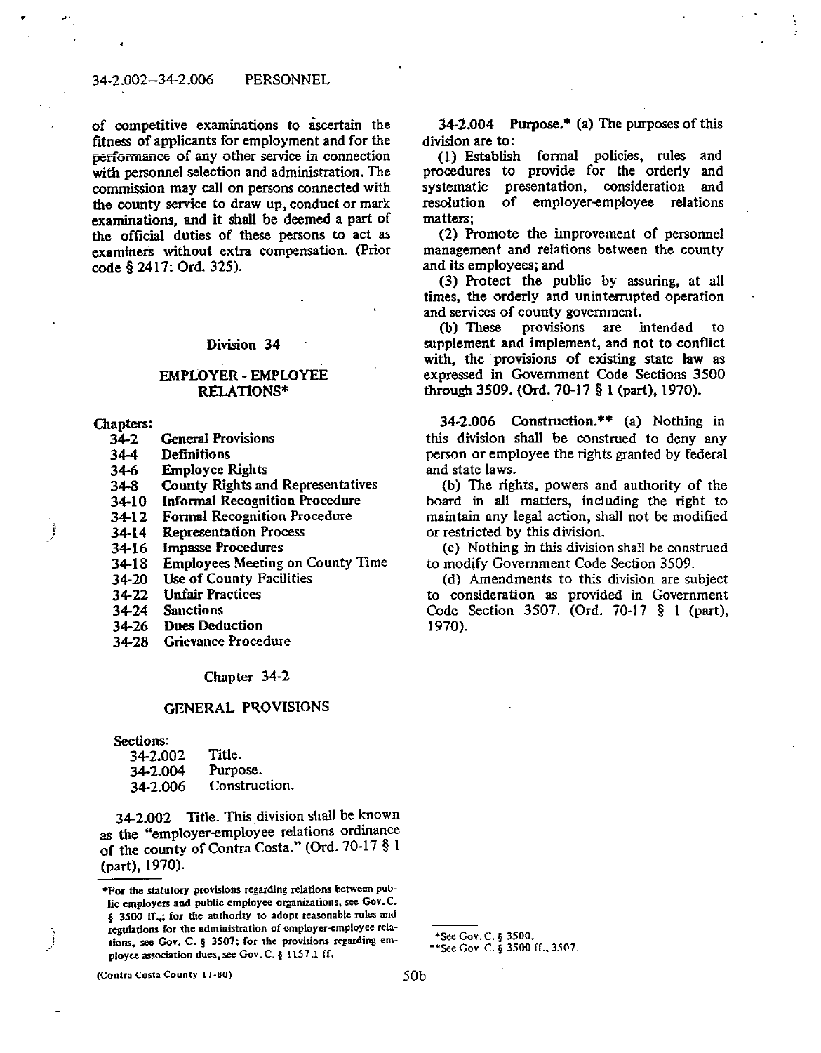#### 34-2.002-34-2.006 PERSONNEL

of competitive examinations to ascertain the fitness of applicants for employment and for the performance of any other service in connection with personnel selection and administration. The commission may call on persons connected with the county service to draw up, conduct or mark examinations, and it shall be deemed a part of the official duties of these persons to act as examiners without extra compensation. (Prior code § 2417: Ord. 325).

#### Division 34

#### **EMPLOYER - EMPLOYEE RELATIONS\***

Chapters:

Ì

- $34-2$ **General Provisions**
- $34-4$ **Definitions**
- $34-6$ **Employee Rights**
- **County Rights and Representatives**  $34-8$
- **Informal Recognition Procedure**  $34-10$
- Formal Recognition Procedure  $34-12$
- **Representation Process**  $34-14$
- **Impasse Procedures** 34-16
- **Employees Meeting on County Time**  $34-18$
- Use of County Facilities 34-20
- $34 22$ **Unfair Practices**
- 34-24 **Sanctions**
- $34 26$ **Dues Deduction**
- $34 28$ Grievance Procedure

# Chapter 34-2

# **GENERAL PROVISIONS**

Sections:

| 34-2.002 | Title.        |
|----------|---------------|
| 34-2.004 | Purpose.      |
| 34-2.006 | Construction. |

34-2.002 Title. This division shall be known as the "employer-employee relations ordinance of the county of Contra Costa." (Ord. 70-17 § 1 (part), 1970).

 $34-2.004$  Purpose.<sup>\*</sup> (a) The purposes of this division are to:

(1) Establish formal policies, rules and procedures to provide for the orderly and systematic presentation, consideration and resolution of employer-employee relations matters:

(2) Promote the improvement of personnel management and relations between the county and its employees; and

(3) Protect the public by assuring, at all times, the orderly and uninterrupted operation and services of county government.

(b) These provisions are intended to supplement and implement, and not to conflict with, the provisions of existing state law as expressed in Government Code Sections 3500 through 3509. (Ord. 70-17 § 1 (part), 1970).

34-2.006 Construction.\*\* (a) Nothing in this division shall be construed to deny any person or employee the rights granted by federal and state laws.

(b) The rights, powers and authority of the board in all matters, including the right to maintain any legal action, shall not be modified or restricted by this division.

(c) Nothing in this division shall be construed to modify Government Code Section 3509.

(d) Amendments to this division are subject to consideration as provided in Government Code Section 3507. (Ord. 70-17 § 1 (part), 1970).

(Contra Costa County 11-80)

<sup>\*</sup>For the statutory provisions regarding relations between public employers and public employee organizations, see Gov.C. § 3500 ff., for the authority to adopt reasonable rules and regulations for the administration of employer-employee relations. see Gov. C. § 3507; for the provisions regarding employee association dues, see Gov. C. § 1157.1 ff.

<sup>\*</sup>See Gov. C. § 3500.

<sup>\*\*</sup>See Gov. C. § 3500 ff., 3507.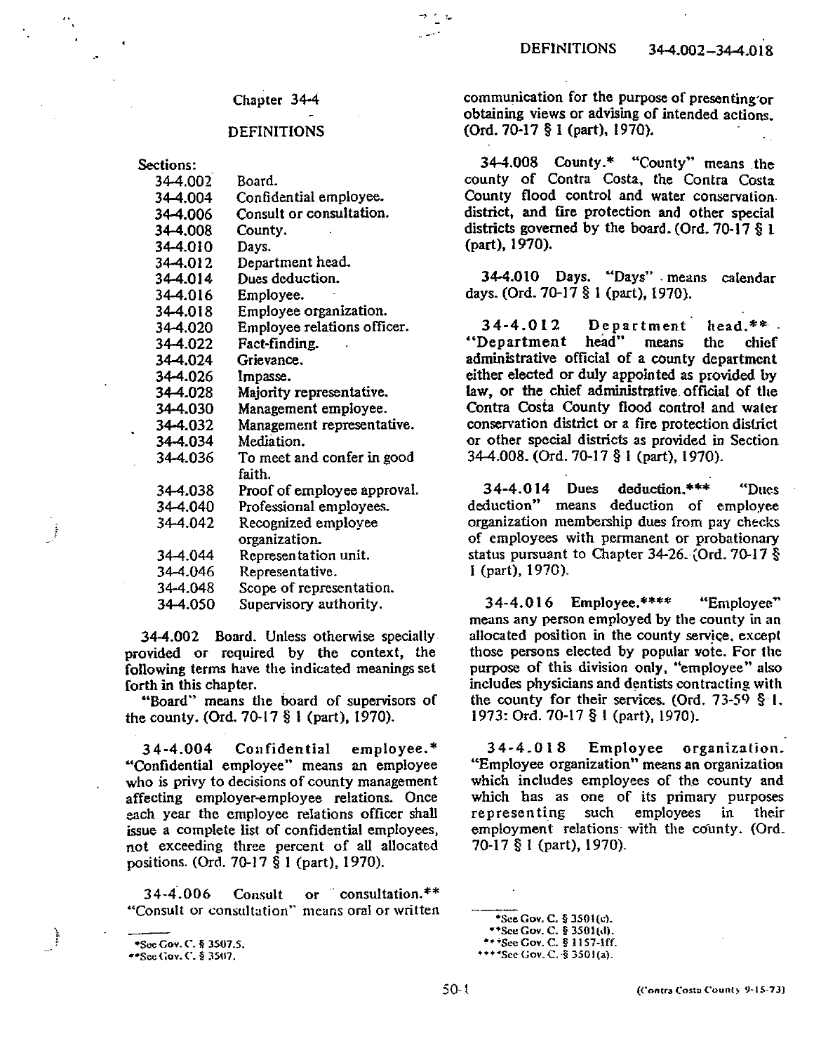## **DEFINITIONS**

Sections:

| 34-4.002 | Board.                      |
|----------|-----------------------------|
| 34-4.004 | Confidential employee.      |
| 34-4.006 | Consult or consultation.    |
| 34-4,008 | County.                     |
| 34-4.010 | Days.                       |
| 34-4.012 | Department head.            |
| 34-4.014 | Dues deduction.             |
| 34-4.016 | Employee.                   |
| 34-4.018 | Employee organization.      |
| 34-4.020 | Employee relations officer. |
| 34-4.022 | Fact-finding.               |
| 34-4.024 | Grievance.                  |
| 34-4.026 | Impasse.                    |
| 34-4.028 | Majority representative.    |
| 34-4.030 | Management employee.        |
| 34-4.032 | Management representative.  |
| 34-4.034 | Mediation.                  |
| 34-4.036 | To meet and confer in good  |
|          | faith.                      |
| 34-4.038 | Proof of employee approval. |
| 34-4.040 | Professional employees.     |
| 34-4.042 | Recognized employee         |
|          | organization.               |
| 34-4.044 | Representation unit.        |
| 34-4.046 | Representative.             |
| 34-4.048 | Scope of representation.    |
| 34-4.050 | Supervisory authority.      |

34-4.002 Board. Unless otherwise specially provided or required by the context, the following terms have the indicated meanings set forth in this chapter.

"Board" means the board of supervisors of the county. (Ord.  $70-17\frac{8}{3}$  1 (part). 1970).

34-4.004 Confidential employee.\* "Confidential employee" means an employee who is privy to decisions of county management affecting employer-employee relations. Once each year the employee relations officer shall issue a complete list of confidential employees, not exceeding three percent of all allocated positions. (Ord. 70-17 § 1 (part), 1970).

34-4.006 Consult or consultation.\*\* "Consult or consultation" means oral or written

Ì

communication for the purpose of presenting or obtaining views or advising of intended actions. (Ord. 70-17 § 1 (part), 1970).

34-4.008 County.\* "County" means the county of Contra Costa, the Contra Costa County flood control and water conservation. district, and fire protection and other special districts governed by the board. (Ord. 70-17  $\S$  1 (part), 1970).

34-4.010 Days. "Days" means calendar days. (Ord. 70-17 § 1 (part), 1970).

34-4.012 Department head.\*\* "Department head" means the chief administrative official of a county department either elected or duly appointed as provided by law, or the chief administrative official of the Contra Costa County flood control and water conservation district or a fire protection district or other special districts as provided in Section 34-4.008. (Ord. 70-17 § 1 (part), 1970).

 $34-4.014$  Dues deduction.\*\*\* "Dues deduction" means deduction of employee organization membership dues from pay checks of employees with permanent or probationary status pursuant to Chapter 34-26. (Ord. 70-17 § 1 (part), 1970).

 $34-4.016$  Employee.\*\*\*\* "Employee" means any person employed by the county in an allocated position in the county service, except those persons elected by popular vote. For the purpose of this division only, "employee" also includes physicians and dentists contracting with the county for their services. (Ord.  $73-59$   $\S$  1. 1973: Ord. 70-17 § 1 (part), 1970).

34-4.018 Employee organization. "Employee organization" means an organization which includes employees of the county and which has as one of its primary purposes representing such employees in their employment relations with the county. (Ord. 70-17 § 1 (part), 1970).

\*\*\*See Gov. C. § 1157-1ff. \*\*\*\*See Gov. C. § 3501(a).

<sup>\*</sup>See Gov. C. § 3507.5.

<sup>\*\*</sup>See Gov. C. § 3507.

<sup>\*</sup>See Gov. C. § 3501(c).

<sup>\*\*</sup>See Gov. C. § 3501(d).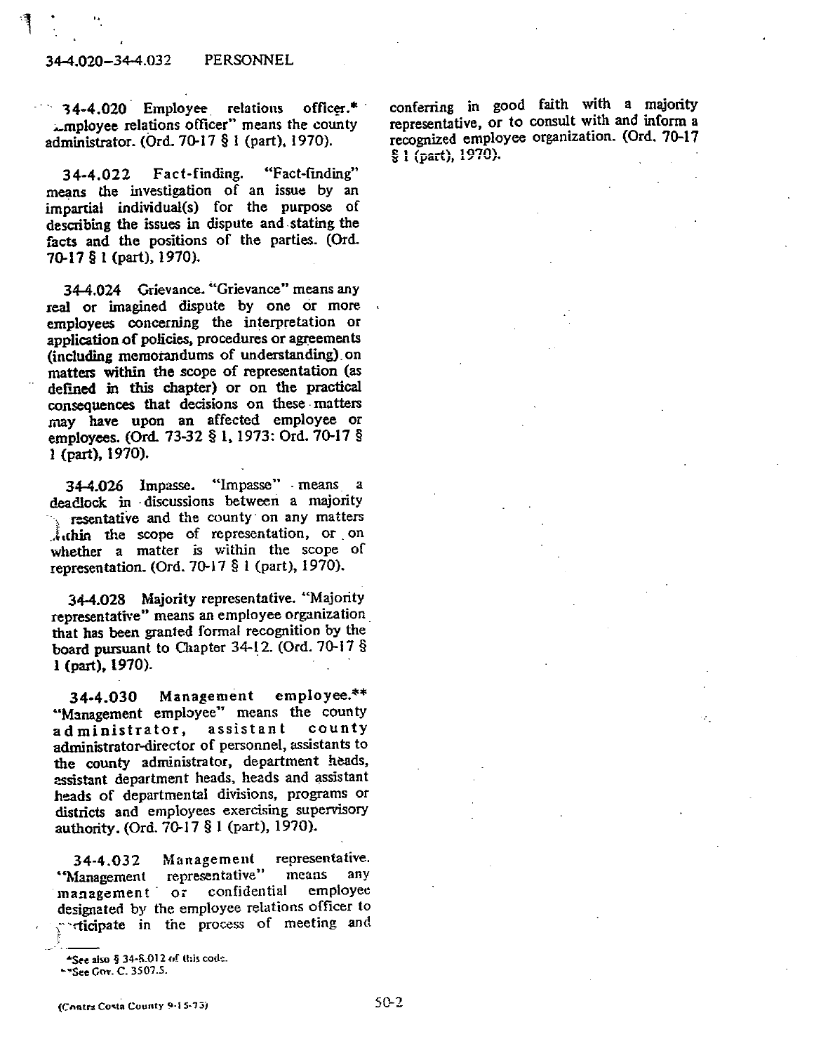#### 34-4.020-34-4.032 PERSONNEL

 $34-4.020$  Employee relations officer.\* amployee relations officer" means the county administrator. (Ord. 70-17 § 1 (part), 1970).

Fact-finding. "Fact-finding" 34-4.022 means the investigation of an issue by an impartial individual(s) for the purpose of describing the issues in dispute and stating the facts and the positions of the parties. (Ord. 70-17 § 1 (part), 1970).

34-4.024 Grievance. "Grievance" means any real or imagined dispute by one or more employees concerning the interpretation or application of policies, procedures or agreements (including memorandums of understanding) on matters within the scope of representation (as defined in this chapter) or on the practical consequences that decisions on these matters may have upon an affected employee or employees. (Ord. 73-32 § 1, 1973: Ord. 70-17 § 1 (part), 1970).

34-4.026 Impasse. "Impasse" means a deadlock in discussions between a majority resentative and the county on any matters Atchin the scope of representation, or on whether a matter is within the scope of representation. (Ord. 70-17  $§$  1 (part), 1970).

34-4.028 Majority representative. "Majority representative" means an employee organization that has been granted formal recognition by the board pursuant to Chapter 34-12. (Ord. 70-17 §  $i$  (part),  $1970$ ).

 $emplovee.**$ Management 34-4.030 "Management employee" means the county administrator, assistant county administrator-director of personnel, assistants to the county administrator, department heads, assistant department heads, heads and assistant heads of departmental divisions, programs or districts and employees exercising supervisory authority. (Ord. 70-17 § 1 (part), 1970).

Management representative. 34-4.032 "Management representative" means any management or confidential employee designated by the employee relations officer to cicipate in the process of meeting and

(Contra Costa County 9-15-75)

conferring in good faith with a maiority representative, or to consult with and inform a recognized employee organization. (Ord. 70-17  $$1 (part), 1970$ .

<sup>\*</sup>See also § 34-8.012 of this code.

<sup>\*\*</sup> See Gov. C. 3507.5.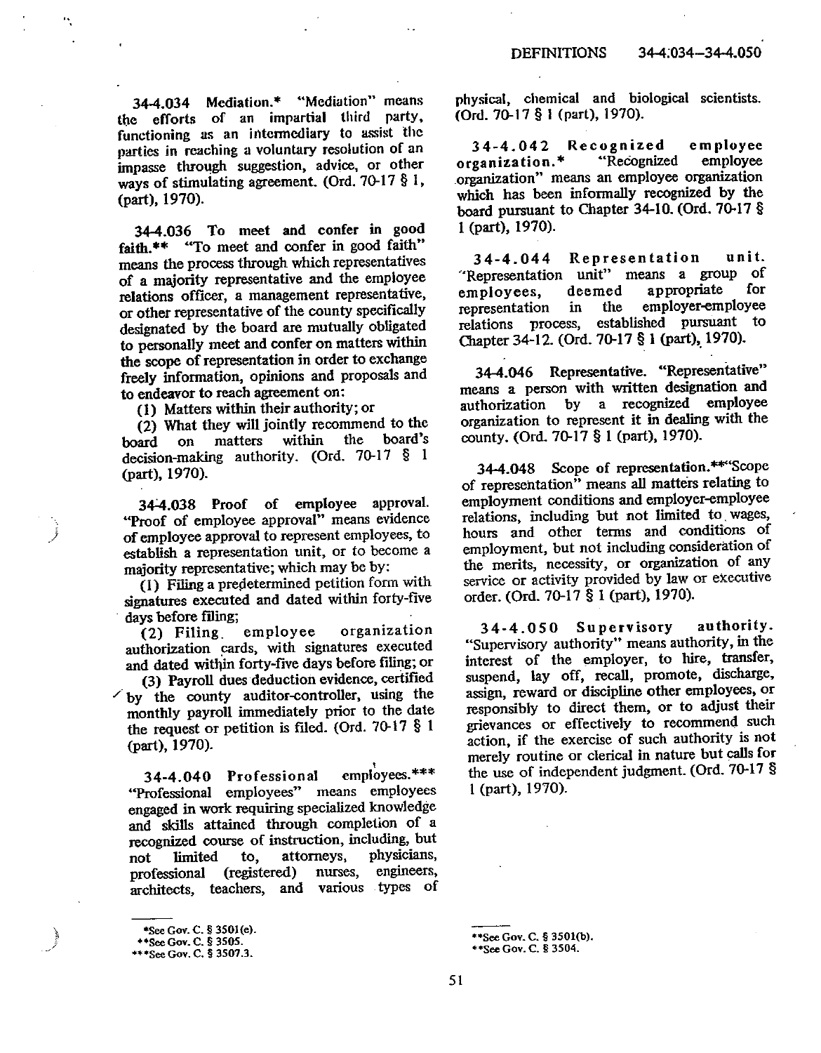34-4.034 Mediation.\* "Mediation" means the efforts of an impartial third party, functioning as an intermediary to assist the parties in reaching a voluntary resolution of an impasse through suggestion, advice, or other ways of stimulating agreement. (Ord. 70-17  $\S$  1, (part), 1970).

 $\overline{\phantom{a}}$ 

34-4.036 To meet and confer in good faith.\*\* "To meet and confer in good faith" means the process through which representatives of a majority representative and the employee relations officer, a management representative, or other representative of the county specifically designated by the board are mutually obligated to personally meet and confer on matters within the scope of representation in order to exchange freely information, opinions and proposals and to endeavor to reach agreement on:

(1) Matters within their authority; or

(2) What they will jointly recommend to the within the board's matters board on decision-making authority. (Ord. 70-17  $\S$  1 (part), 1970).

34-4.038 Proof of employee approval. "Proof of employee approval" means evidence of employee approval to represent employees, to establish a representation unit, or to become a majority representative; which may be by:

(1) Filing a predetermined petition form with signatures executed and dated within forty-five days before filing;

organization employee  $(2)$  Filing. authorization cards, with signatures executed and dated within forty-five days before filing; or

(3) Payroll dues deduction evidence, certified  $\sim$  by the county auditor-controller, using the monthly payroll immediately prior to the date the request or petition is filed. (Ord.  $70-17$  § 1 (part), 1970).

employees.\*\*\* 34-4.040 Professional "Professional employees" means employees engaged in work requiring specialized knowledge and skills attained through completion of a recognized course of instruction, including, but physicians, attorneys. limited to. not engineers, (registered) nurses. professional architects, teachers, and various types of physical, chemical and biological scientists. (Ord. 70-17 § 1 (part), 1970).

 $34 - 4.042$ Recognized employee organization.\* "Recognized employee organization" means an employee organization which has been informally recognized by the board pursuant to Chapter 34-10. (Ord. 70-17 § 1 (part), 1970).

unit.  $34 - 4.044$ Representation "Representation unit" means a group of deemed appropriate for employees. employer-employee in the representation established pursuant to relations process, Chapter 34-12. (Ord. 70-17 § 1 (part), 1970).

34-4.046 Representative. "Representative" means a person with written designation and authorization by a recognized employee organization to represent it in dealing with the county, (Ord. 70-17 § 1 (part), 1970).

34-4.048 Scope of representation.\*\* Scope of representation" means all matters relating to employment conditions and employer-employee relations, including but not limited to wages, hours and other terms and conditions of employment, but not including consideration of the merits, necessity, or organization of any service or activity provided by law or executive order. (Ord. 70-17 § 1 (part), 1970).

authority. 34-4.050 Supervisory "Supervisory authority" means authority, in the interest of the employer, to hire, transfer, suspend, lay off, recall, promote, discharge, assign, reward or discipline other employees, or responsibly to direct them, or to adjust their grievances or effectively to recommend such action, if the exercise of such authority is not merely routine or clerical in nature but calls for the use of independent judgment. (Ord. 70-17 § 1 (part), 1970).

\*\* See Gov. C. § 3501(b).

\*\* See Gov. C. § 3504.

<sup>\*</sup>See Gov. C. § 3501(e).

<sup>\*\*</sup>See Gov. C. § 3505.<br>\*\*\*See Gov. C. § 3507.3.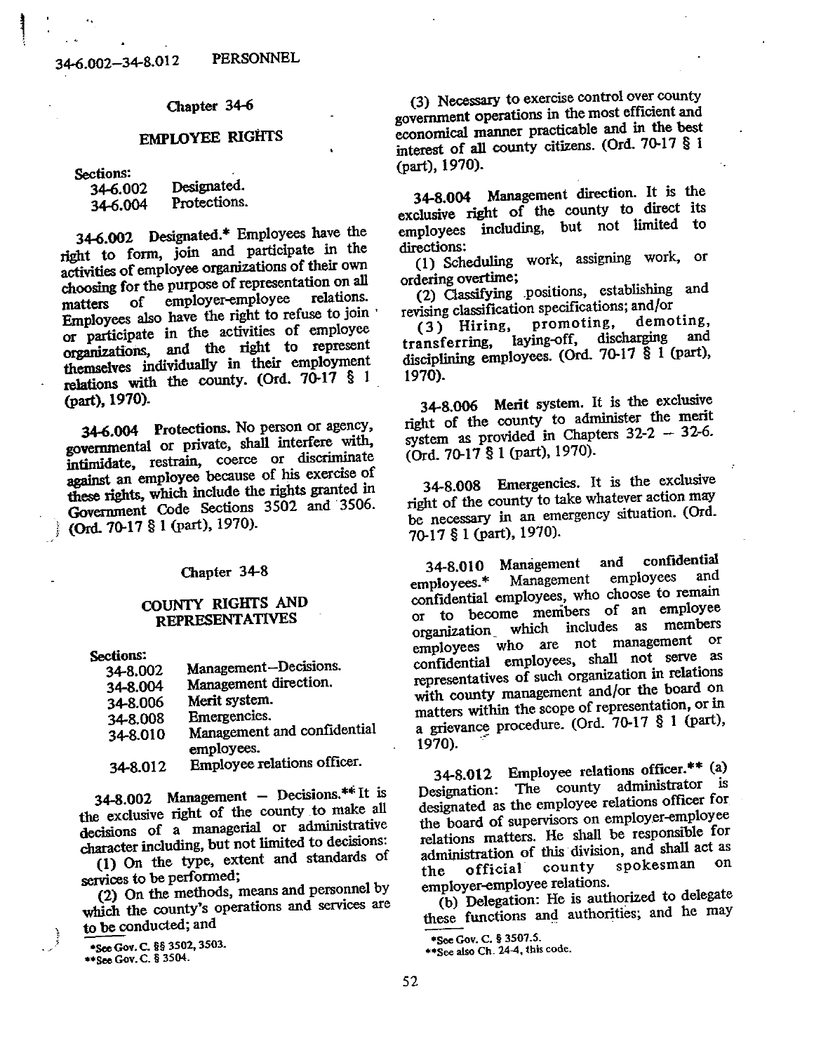# **EMPLOYEE RIGHTS**

Sections:

| 34-6.002 | Designated.  |
|----------|--------------|
| 34-6.004 | Protections. |

34-6.002 Designated.\* Employees have the right to form, join and participate in the activities of employee organizations of their own choosing for the purpose of representation on all employer-employee relations.  $of$ matters Employees also have the right to refuse to join or participate in the activities of employee organizations, and the right to represent themselves individually in their employment relations with the county. (Ord. 70-17 § 1 (part), 1970).

34-6.004 Protections. No person or agency, governmental or private, shall interfere with, intimidate, restrain, coerce or discriminate against an employee because of his exercise of these rights, which include the rights granted in Government Code Sections 3502 and 3506. (Ord. 70-17 § 1 (part), 1970).

Chapter 34-8

# COUNTY RIGHTS AND **REPRESENTATIVES**

Sections:

| 34-8.002 | Management-Decisions.       |
|----------|-----------------------------|
| 34-8.004 | Management direction.       |
| 34-8.006 | Merit system.               |
| 34-8.008 | Emergencies.                |
| 34-8.010 | Management and confidential |
|          | employees.                  |
| 34-8.012 | Employee relations officer. |

34-8.002 Management - Decisions.\*\* It is the exclusive right of the county to make all decisions of a managerial or administrative character including, but not limited to decisions: (1) On the type, extent and standards of

services to be performed:

(2) On the methods, means and personnel by which the county's operations and services are to be conducted; and

\*See Gov. C. §§ 3502, 3503. \*\* See Gov. C. § 3504.

(3) Necessary to exercise control over county government operations in the most efficient and economical manner practicable and in the best interest of all county citizens. (Ord. 70-17 § 1) (part), 1970).

34-8.004 Management direction. It is the exclusive right of the county to direct its employees including, but not limited to directions:

(1) Scheduling work, assigning work, or ordering overtime:

(2) Classifying positions, establishing and revising classification specifications; and/or

promoting. demoting,  $(3)$  Hiring. laying-off, discharging and transferring, disciplining employees. (Ord. 70-17 § 1 (part), 1970).

34-8.006 Merit system. It is the exclusive right of the county to administer the merit system as provided in Chapters  $32-2 - 32-6$ . (Ord. 70-17 § 1 (part), 1970).

34-8.008 Emergencies. It is the exclusive right of the county to take whatever action may be necessary in an emergency situation. (Ord. 70-17 § 1 (part), 1970).

confidential 34-8.010 Management and employees and employees.\* Management confidential employees, who choose to remain or to become members of an employee organization which includes as members employees who are not management or confidential employees, shall not serve as representatives of such organization in relations with county management and/or the board on matters within the scope of representation, or in a grievance procedure. (Ord. 70-17 § 1 (part), 1970).

34-8.012 Employee relations officer.\*\* (a) Designation: The county administrator is designated as the employee relations officer for the board of supervisors on employer-employee relations matters. He shall be responsible for administration of this division, and shall act as spokesman on official county the employer-employee relations.

(b) Delegation: He is authorized to delegate these functions and authorities; and he may

<sup>\*</sup>See Gov. C. § 3507.5.

<sup>\*\*</sup> See also Ch. 24-4, this code.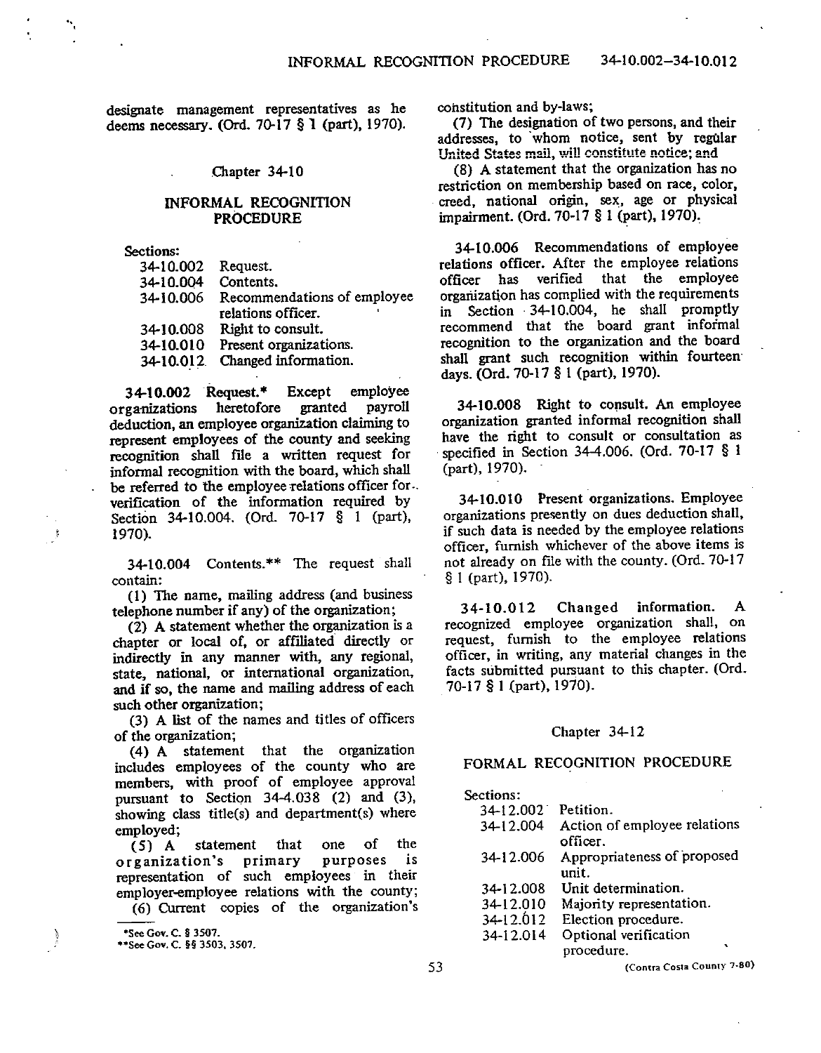designate management representatives as he deems necessary, (Ord. 70-17 § 1 (part), 1970).

#### Chapter 34-10

### INFORMAL RECOGNITION **PROCEDURE**

Sections:

| 34-10.002 | Request.                    |
|-----------|-----------------------------|
| 34-10.004 | Contents.                   |
| 34-10.006 | Recommendations of employee |
|           | relations officer.          |
| 34-10.008 | Right to consult.           |
| 34-10.010 | Present organizations.      |
| 34-10.012 | Changed information.        |

34-10.002 Request.\* Except employee organizations heretofore granted payroll deduction, an employee organization claiming to represent employees of the county and seeking recognition shall file a written request for informal recognition with the board, which shall be referred to the employee relations officer for. verification of the information required by Section 34-10.004. (Ord. 70-17 § 1 (part), 1970).

34-10.004 Contents.\*\* The request shall contain:

(1) The name, mailing address (and business telephone number if any) of the organization;

(2) A statement whether the organization is a chapter or local of, or affiliated directly or indirectly in any manner with, any regional, state, national, or international organization, and if so, the name and mailing address of each such other organization;

(3) A list of the names and titles of officers of the organization:

(4) A statement that the organization includes employees of the county who are members, with proof of employee approval pursuant to Section  $34-4.038$  (2) and (3), showing class title(s) and department(s) where employed;

statement that one  $of$ the  $(5)$  A organization's primary purposes is representation of such employees in their employer-employee relations with the county;

(6) Current copies of the organization's

constitution and by-laws;

(7) The designation of two persons, and their addresses, to whom notice, sent by regular United States mail, will constitute notice; and

(8) A statement that the organization has no restriction on membership based on race, color, creed, national origin, sex, age or physical impairment. (Ord. 70-17 § 1 (part), 1970).

34-10.006 Recommendations of employee relations officer. After the employee relations that the employee officer has verified organization has complied with the requirements in Section 34-10.004, he shall promptly recommend that the board grant informal recognition to the organization and the board shall grant such recognition within fourteen days. (Ord. 70-17 § 1 (part), 1970).

34-10.008 Right to consult. An employee organization granted informal recognition shall have the right to consult or consultation as specified in Section 34-4.006. (Ord. 70-17 § 1 (part), 1970).

34-10.010 Present organizations. Employee organizations presently on dues deduction shall, if such data is needed by the employee relations officer, furnish whichever of the above items is not already on file with the county. (Ord. 70-17 § 1 (part), 1970).

Changed information.  $\mathbf{A}$ 34-10.012 recognized employee organization shall, on request, furnish to the employee relations officer, in writing, any material changes in the facts submitted pursuant to this chapter. (Ord. 70-17 § 1 (part), 1970).

#### Chapter 34-12

#### FORMAL RECOGNITION PROCEDURE

| Sections: |                                          |
|-----------|------------------------------------------|
| 34-12.002 | Petition.                                |
| 34-12.004 | Action of employee relations<br>officer. |
| 34-12.006 | Appropriateness of proposed<br>unit.     |
| 34-12.008 | Unit determination.                      |
| 34-12.010 | Majority representation.                 |
| 34-12.012 | Election procedure.                      |
| 34-12.014 | Optional verification                    |
|           | ۰.<br>procedure.                         |
|           |                                          |

(Contra Costa County 7-80)

<sup>\*</sup>See Gov. C. § 3507.

<sup>\*\*</sup>See Gov. C. §§ 3503, 3507.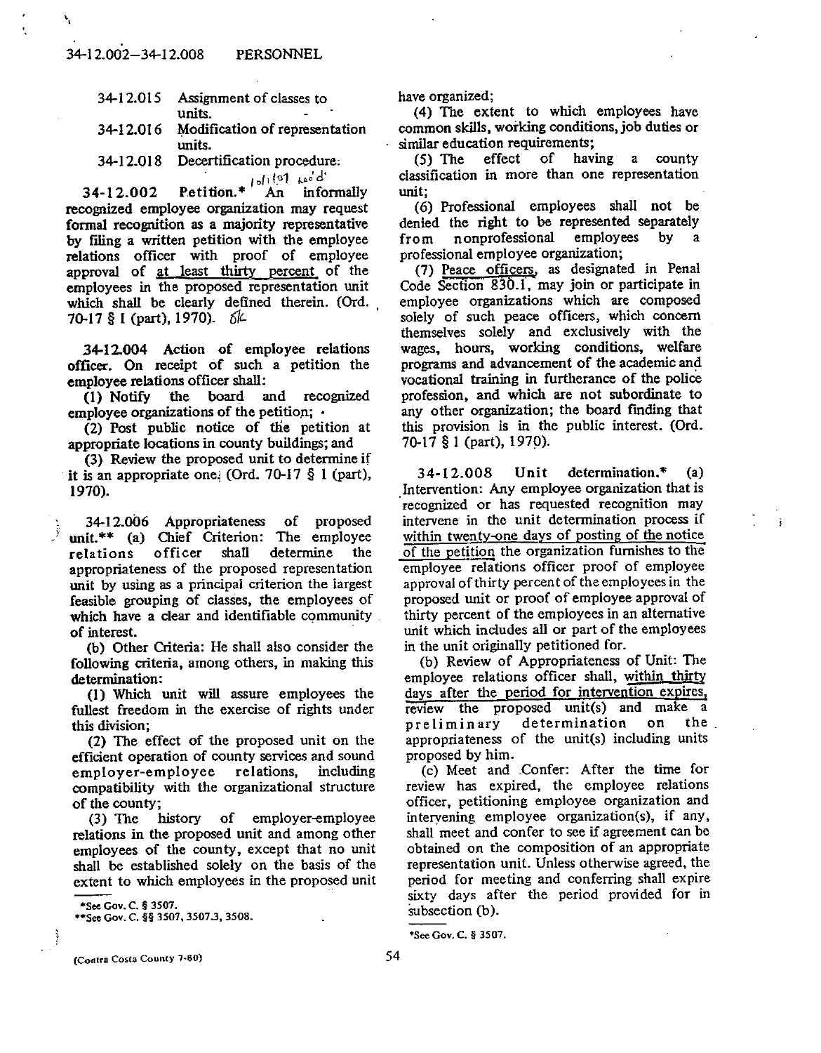- 34-12.015 Assignment of classes to units.
- Modification of representation 34-12.016 units.

34-12.018 Decertification procedure.

Petition. \*  $\int_{0}^{1} \int_{0}^{\sqrt{2}} \frac{ke^{t} d^{t}}{t} dt$ 34-12.002 recognized employee organization may request formal recognition as a majority representative by filing a written petition with the employee relations officer with proof of employee approval of at least thirty percent of the employees in the proposed representation unit which shall be clearly defined therein. (Ord. 70-17 § 1 (part), 1970).  $6k$ 

34-12.004 Action of employee relations officer. On receipt of such a petition the employee relations officer shall:

(1) Notify the board and recognized employee organizations of the petition: .

(2) Post public notice of the petition at appropriate locations in county buildings; and

(3) Review the proposed unit to determine if it is an appropriate one. (Ord. 70-17  $\S$  1 (part), 1970).

34-12.006 Appropriateness of proposed unit.\*\* (a) Chief Criterion: The employee relations officer shall determine the appropriateness of the proposed representation unit by using as a principal criterion the largest feasible grouping of classes, the employees of which have a clear and identifiable community. of interest.

(b) Other Criteria: He shall also consider the following criteria, among others, in making this determination:

(1) Which unit will assure employees the fullest freedom in the exercise of rights under this division;

(2) The effect of the proposed unit on the efficient operation of county services and sound employer-employee relations, including compatibility with the organizational structure of the county:

 $(3)$  The history of employer-employee relations in the proposed unit and among other employees of the county, except that no unit shall be established solely on the basis of the extent to which employees in the proposed unit

\*\* See Gov. C. §§ 3507, 3507.3, 3508.

have organized;

(4) The extent to which employees have common skills, working conditions, job duties or similar education requirements;

(5) The effect of having a county classification in more than one representation unit:

(6) Professional employees shall not be denied the right to be represented separately nonprofessional employees  $\mathbf{a}$ bv from professional employee organization:

(7) Peace officers, as designated in Penal Code Section 830.1, may join or participate in emplovee organizations which are composed solely of such peace officers, which concern themselves solely and exclusively with the wages, hours, working conditions, welfare programs and advancement of the academic and vocational training in furtherance of the police profession, and which are not subordinate to any other organization; the board finding that this provision is in the public interest. (Ord. 70-17 § 1 (part), 1970).

34-12.008 Unit  $determination.*$  $(a)$ Intervention: Any employee organization that is recognized or has requested recognition may intervene in the unit determination process if within twenty-one days of posting of the notice of the petition the organization furnishes to the employee relations officer proof of employee approval of thirty percent of the employees in the proposed unit or proof of employee approval of thirty percent of the employees in an alternative unit which includes all or part of the employees in the unit originally petitioned for.

j.

(b) Review of Appropriateness of Unit: The employee relations officer shall, within thirty days after the period for intervention expires, review the proposed unit(s) and make a determination on the preliminary appropriateness of the unit(s) including units proposed by him.

(c) Meet and Confer: After the time for review has expired, the employee relations officer, petitioning employee organization and intervening employee organization(s), if any, shall meet and confer to see if agreement can be obtained on the composition of an appropriate representation unit. Unless otherwise agreed, the period for meeting and conferring shall expire sixty days after the period provided for in subsection (b).

\*See Gov. C. § 3507.

<sup>\*</sup>See Gov. C. § 3507.

<sup>(</sup>Contra Costa County 7-80)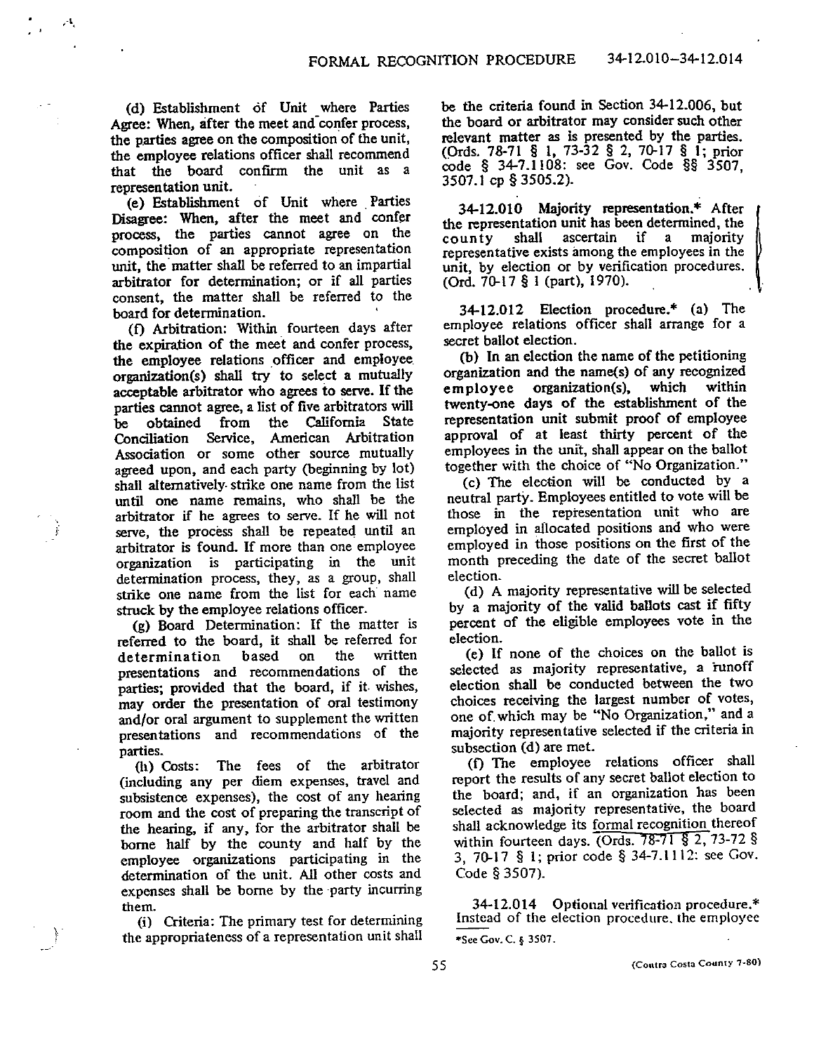(d) Establishment of Unit where Parties Agree: When, after the meet and confer process, the parties agree on the composition of the unit, the employee relations officer shall recommend that the board confirm the unit as a representation unit.

(e) Establishment of Unit where Parties Disagree: When, after the meet and confer process, the parties cannot agree on the composition of an appropriate representation unit, the matter shall be referred to an impartial arbitrator for determination; or if all parties consent, the matter shall be referred to the board for determination.

(f) Arbitration: Within fourteen days after the expiration of the meet and confer process, the employee relations officer and employee organization(s) shall try to select a mutually acceptable arbitrator who agrees to serve. If the parties cannot agree, a list of five arbitrators will from California State obtained the be Service, American Arbitration Conciliation Association or some other source mutually agreed upon, and each party (beginning by lot) shall alternatively strike one name from the list until one name remains, who shall be the arbitrator if he agrees to serve. If he will not serve, the process shall be repeated until an arbitrator is found. If more than one employee organization is participating in the unit determination process, they, as a group, shall strike one name from the list for each name struck by the employee relations officer.

(g) Board Determination: If the matter is referred to the board, it shall be referred for written based the determination OП presentations and recommendations of the parties; provided that the board, if it wishes, may order the presentation of oral testimony and/or oral argument to supplement the written presentations and recommendations of the parties.

(h) Costs: The fees of the arbitrator (including any per diem expenses, travel and subsistence expenses), the cost of any hearing room and the cost of preparing the transcript of the hearing, if any, for the arbitrator shall be borne half by the county and half by the employee organizations participating in the determination of the unit. All other costs and expenses shall be borne by the party incurring them.

(i) Criteria: The primary test for determining the appropriateness of a representation unit shall be the criteria found in Section 34-12.006, but the board or arbitrator may consider such other relevant matter as is presented by the parties. (Ords. 78-71 § 1, 73-32 § 2, 70-17 § 1; prior code § 34-7.1108: see Gov. Code §§ 3507, 3507.1 cp § 3505.2).

34-12.010 Majority representation.\* After the representation unit has been determined, the shall ascertain if a majority county representative exists among the employees in the unit, by election or by verification procedures. (Ord. 70-17 § 1 (part), 1970).

34-12.012 Election procedure.\* (a) The employee relations officer shall arrange for a secret ballot election.

(b) In an election the name of the petitioning organization and the name(s) of any recognized employee organization(s). which within twenty-one days of the establishment of the representation unit submit proof of employee approval of at least thirty percent of the employees in the unit, shall appear on the ballot together with the choice of "No Organization."

(c) The election will be conducted by a neutral party. Employees entitled to vote will be those in the representation unit who are employed in allocated positions and who were employed in those positions on the first of the month preceding the date of the secret ballot election.

(d) A majority representative will be selected by a majority of the valid ballots cast if fifty percent of the eligible employees vote in the election.

(e) If none of the choices on the ballot is selected as majority representative, a runoff election shall be conducted between the two choices receiving the largest number of votes, one of which may be "No Organization," and a majority representative selected if the criteria in subsection (d) are met.

(f) The employee relations officer shall report the results of any secret ballot election to the board; and, if an organization has been selected as majority representative, the board shall acknowledge its formal recognition thereof within fourteen days. (Ords. 78-71 § 2, 73-72 § 3, 70-17 § 1; prior code § 34-7.1112: see Gov. Code § 3507).

34-12.014 Optional verification procedure.\* Instead of the election procedure, the employee \*See Gov. C. § 3507.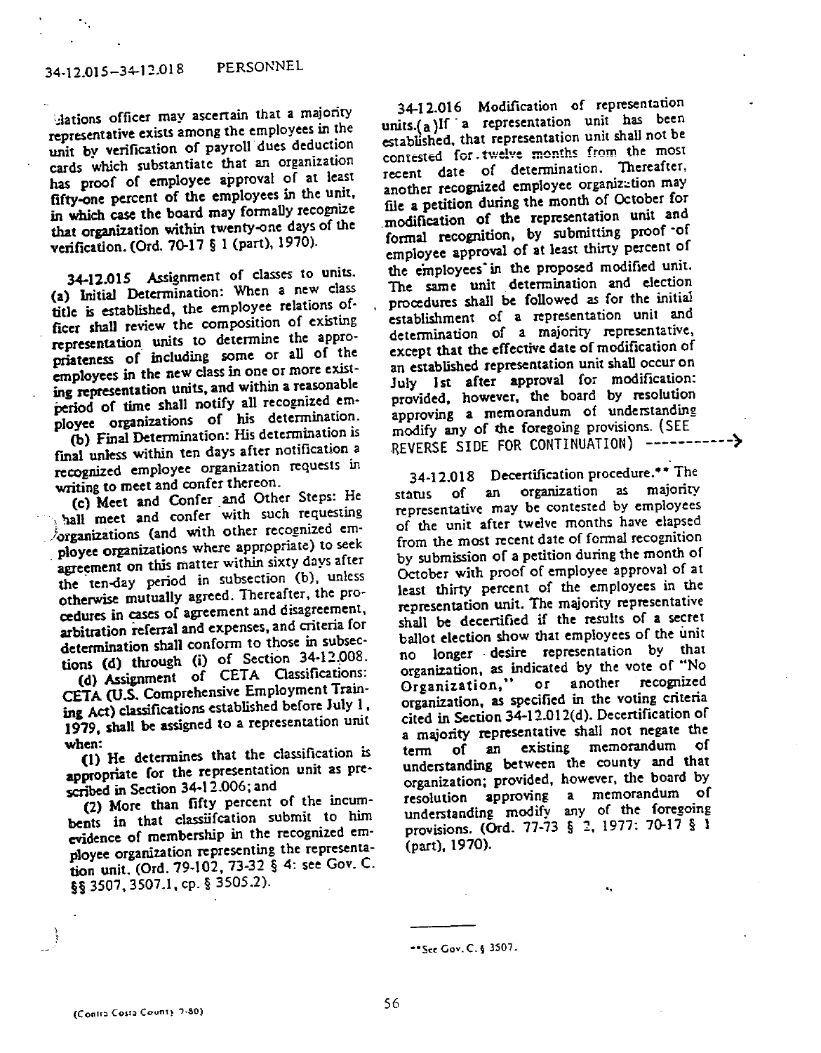clations officer may ascertain that a majority representative exists among the employees in the unit by verification of payroll dues deduction cards which substantiate that an organization has proof of employee approval of at least fifty-one percent of the employees in the unit. in which case the board may formally recognize that organization within twenty-one days of the verification. (Ord. 70-17 § 1 (part), 1970).

34-12.015 Assignment of classes to units. (a) Initial Determination: When a new class title is established, the employee relations officer shall review the composition of existing representation units to determine the appropriateness of including some or all of the employees in the new class in one or more existing representation units, and within a reasonable period of time shall notify all recognized employee organizations of his determination.

(b) Final Determination: His determination is final unless within ten days after notification a recognized employee organization requests in writing to meet and confer thereon.

(c) Meet and Confer and Other Steps: He hall meet and confer with such requesting forganizations (and with other recognized employee organizations where appropriate) to seek agreement on this matter within sixty days after the ten-day period in subsection (b), unless otherwise mutually agreed. Thereafter, the procedures in cases of agreement and disagreement, arbitration referral and expenses, and criteria for determination shall conform to those in subsections (d) through (i) of Section 34-12.008.

(d) Assignment of CETA Classifications: CETA (U.S. Comprehensive Employment Training Act) classifications established before July 1. 1979, shall be assigned to a representation unit when:

(1) He determines that the classification is appropriate for the representation unit as prescribed in Section 34-12.006; and

(2) More than fifty percent of the incumbents in that classification submit to him evidence of membership in the recognized employee organization representing the representation unit. (Ord. 79-102, 73-32 § 4: see Gov. C. §§ 3507, 3507.1, cp. § 3505.2).

34-12.016 Modification of representation units.(a)If a representation unit has been established, that representation unit shall not be contested for twelve months from the most recent date of determination. Thereafter, another recognized employee organization may file a petition during the month of October for modification of the representation unit and formal recognition, by submitting proof of employee approval of at least thirty percent of the employees in the proposed modified unit. The same unit determination and election procedures shall be followed as for the initial establishment of a representation unit and determination of a majority representative, except that the effective date of modification of an established representation unit shall occur on July 1st after approval for modification: provided, however, the board by resolution approving a memorandum of understanding modify any of the foregoing provisions. (SEE REVERSE SIDE FOR CONTINUATION) ------------>

34-12.018 Decertification procedure.\*\* The an organization as majority of státus representative may be contested by employees of the unit after twelve months have elapsed from the most recent date of formal recognition by submission of a petition during the month of October with proof of employee approval of at least thirty percent of the employees in the representation unit. The majority representative shall be decertified if the results of a secret ballot election show that employees of the unit no longer desire representation by that organization, as indicated by the vote of "No or another recognized Organization," organization, as specified in the voting criteria cited in Section 34-12.012(d). Decertification of a majority representative shall not negate the existing memorandum of of an term understanding between the county and that organization; provided, however, the board by resolution approving a memorandum of understanding modify any of the foregoing provisions. (Ord. 77-73 § 2, 1977: 70-17 § 1 (part), 1970).

<sup>\*\*</sup>See Gov. C. § 3507.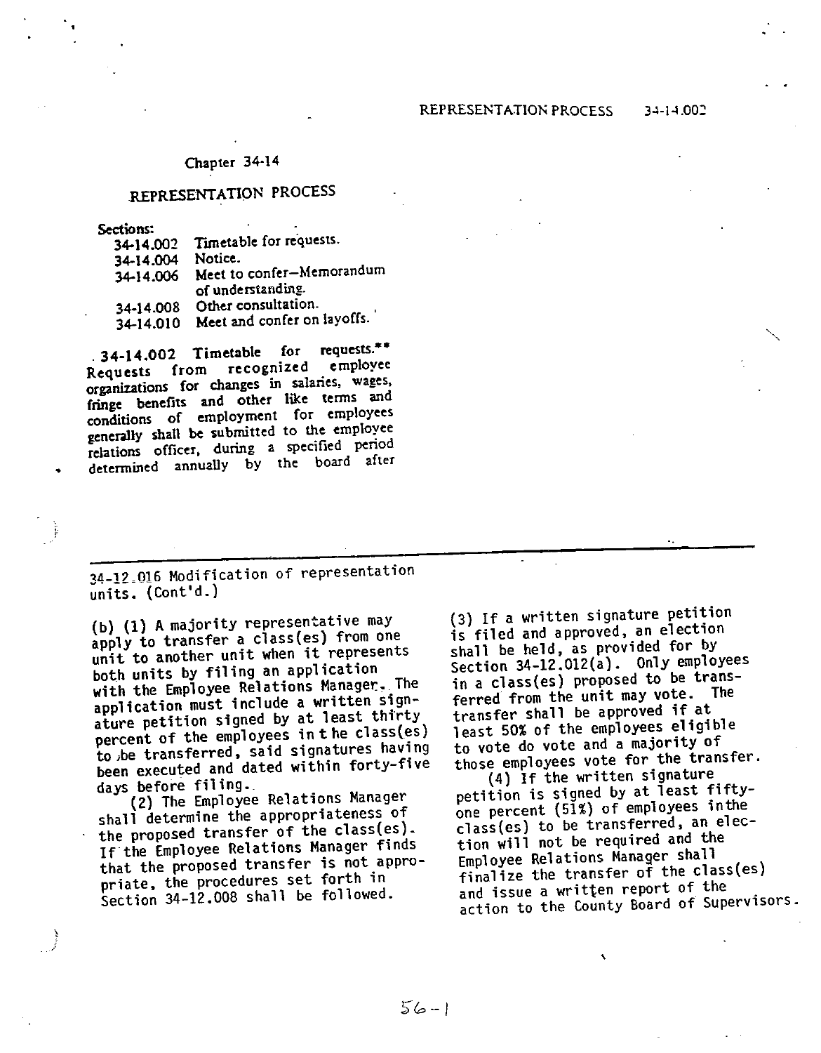# REPRESENTATION PROCESS

**Sections:** 

| 34-14.002 | Timetable for requests.     |
|-----------|-----------------------------|
| 34-14.004 | Notice.                     |
| 34-14.006 | Meet to confer-Memorandum   |
|           | of understanding.           |
| 34-14.008 | Other consultation.         |
| 34-14.010 | Meet and confer on layoffs. |

.34-14.002 Timetable for requests.\*\* Requests from recognized employee organizations for changes in salaries, wages, fringe benefits and other like terms and conditions of employment for employees generally shall be submitted to the employee relations officer, during a specified period determined annually by the board after

34-12.016 Modification of representation units. (Cont'd.)

(b) (1) A majority representative may apply to transfer a class(es) from one unit to another unit when it represents both units by filing an application with the Employee Relations Manager. The application must include a written signature petition signed by at least thirty percent of the employees in the class(es) to be transferred, said signatures having been executed and dated within forty-five days before filing.

(2) The Employee Relations Manager shall determine the appropriateness of the proposed transfer of the class(es). If the Employee Relations Manager finds that the proposed transfer is not appropriate, the procedures set forth in Section 34-12.008 shall be followed.

(3) If a written signature petition is filed and approved, an election shall be held, as provided for by Section 34-12.012(a). Only employees in a class(es) proposed to be transferred from the unit may vote. The transfer shall be approved if at least 50% of the employees eligible to vote do vote and a majority of those employees vote for the transfer.

(4) If the written signature petition is signed by at least fiftyone percent (51%) of employees in the class(es) to be transferred, an election will not be required and the Employee Relations Manager shall finalize the transfer of the class(es) and issue a written report of the action to the County Board of Supervisors.

 $56 - 1$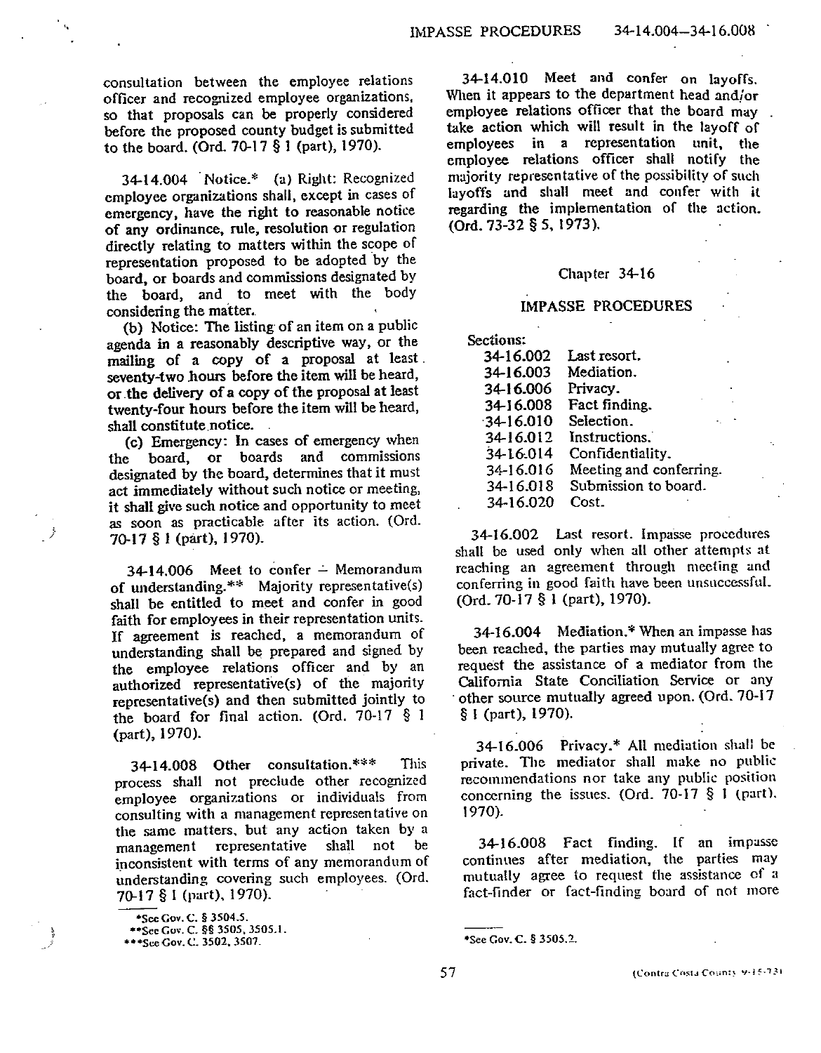consultation between the employee relations officer and recognized employee organizations, so that proposals can be properly considered before the proposed county budget is submitted to the board. (Ord. 70-17 § 1 (part), 1970).

34-14.004 Notice.\* (a) Right: Recognized employee organizations shall, except in cases of emergency, have the right to reasonable notice of any ordinance, rule, resolution or regulation directly relating to matters within the scope of representation proposed to be adopted by the board, or boards and commissions designated by the board, and to meet with the body considering the matter.

(b) Notice: The listing of an item on a public agenda in a reasonably descriptive way, or the mailing of a copy of a proposal at least. seventy-two hours before the item will be heard, or the delivery of a copy of the proposal at least twenty-four hours before the item will be heard, shall constitute notice.

(c) Emergency: In cases of emergency when board, or boards and commissions the designated by the board, determines that it must act immediately without such notice or meeting, it shall give such notice and opportunity to meet as soon as practicable after its action. (Ord. 70-17 § 1 (part), 1970).

 $34-14,006$  Meet to confer - Memorandum of understanding.\*\* Majority representative(s) shall be entitled to meet and confer in good faith for employees in their representation units. If agreement is reached, a memorandum of understanding shall be prepared and signed by the employee relations officer and by an authorized representative(s) of the majority representative(s) and then submitted jointly to the board for final action. (Ord. 70-17 § 1 (part), 1970).

34-14.008 Other consultation.\*\*\* This process shall not preclude other recognized employee organizations or individuals from consulting with a management representative on the same matters, but any action taken by a management representative shall not be inconsistent with terms of any memorandum of understanding covering such employees. (Ord. 70-17 § 1 (part), 1970).

34-14.010 Meet and confer on layoffs. When it appears to the department head and/or employee relations officer that the board may take action which will result in the lavoff of employees in a representation unit. the emplovee relations officer shall notify the majority representative of the possibility of such lavoffs and shall meet and confer with it regarding the implementation of the action. (Ord. 73-32 § 5, 1973).

#### Chapter 34-16

## **IMPASSE PROCEDURES**

Sections: 34-16.002 Last resort. Mediation. 34-16.003 34-16.006 Privacy. 34-16.008 Fact finding.  $-34 - 16.010$ Selection. 34-16.012 Instructions. 34-16.014 Confidentiality. 34-16.016 Meeting and conferring. Submission to board. 34-16.018 34-16.020 Cost.

34-16.002 Last resort. Impasse procedures shall be used only when all other attempts at reaching an agreement through meeting and conferring in good faith have been unsuccessful. (Ord. 70-17 § 1 (part), 1970).

34-16.004 Mediation.\* When an impasse has been reached, the parties may mutually agree to request the assistance of a mediator from the California State Conciliation Service or any other source mutually agreed upon. (Ord.  $70-17$  $§$  I (part), 1970).

34-16.006 Privacy.\* All mediation shall be private. The mediator shall make no public recommendations nor take any public position concerning the issues. (Ord. 70-17  $\S$  1 (part).  $1970$ ).

34-16.008 Fact finding. If an impusse continues after mediation, the parties may mutually agree to request the assistance of a fact-finder or fact-finding board of not more

<sup>\*</sup>See Cov. C. § 3504.5.

<sup>\*\*</sup> See Gov. C. §§ 3505, 3505.1.

<sup>\*\*\*</sup>See Gov. C. 3502, 3507.

<sup>\*</sup>See Gov. C. § 3505.2.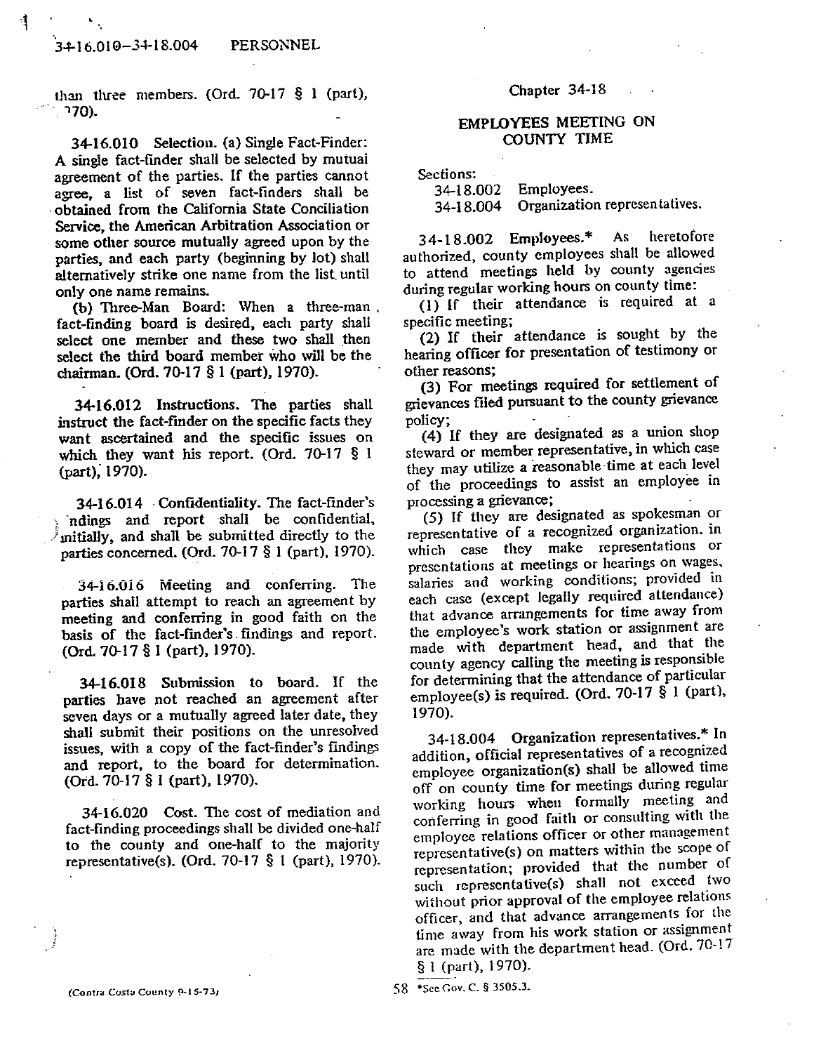than three members. (Ord.  $70-17$  § 1 (part), . 70).

34-16.010 Selection. (a) Single Fact-Finder: A single fact-finder shall be selected by mutual agreement of the parties. If the parties cannot agree, a list of seven fact-finders shall be obtained from the California State Conciliation Service, the American Arbitration Association or some other source mutually agreed upon by the parties, and each party (beginning by lot) shall alternatively strike one name from the list until only one name remains.

(b) Three-Man Board: When a three-man, fact-finding board is desired, each party shall select one member and these two shall then select the third board member who will be the chairman. (Ord. 70-17 § 1 (part), 1970).

34-16.012 Instructions. The parties shall instruct the fact-finder on the specific facts they want ascertained and the specific issues on which they want his report. (Ord. 70-17  $\S$  1 (part), 1970).

34-16.014 Confidentiality. The fact-finder's ndings and report shall be confidential,  $\sqrt{\frac{1}{2}}$  mitially, and shall be submitted directly to the parties concerned. (Ord.  $70-17$   $\S$  1 (part), 1970).

3416.016 Meeting and conferring. The parties shall attempt to reach an agreement by meeting and conferring in good faith on the basis of the fact-finder's findings and report. (Ord. 70-17 § 1 (part), 1970).

34-16.018 Submission to board. If the parties have not reached an agreement after seven days or a mutually agreed later date, they shall submit their positions on the unresolved issues, with a copy of the fact-finder's findings and report, to the board for determination. (Ord. 70-17 § 1 (part), 1970).

34-16.020 Cost. The cost of mediation and fact-finding proceedings shall be divided one-half to the county and one-half to the majority representative(s). (Ord. 70-17 § 1 (part), 1970).

Chapter 34-18

# EMPLOYEES MEETING ON **COUNTY TIME**

Sections:

34-18.002 Employees. Organization representatives. 34-18.004

 $34-18.002$  Employees.\* As heretofore authorized, county employees shall be allowed to attend meetings held by county agencies during regular working hours on county time:

(1) If their attendance is required at a specific meeting;

(2) If their attendance is sought by the hearing officer for presentation of testimony or other reasons;

(3) For meetings required for settlement of grievances filed pursuant to the county grievance policy;

(4) If they are designated as a union shop steward or member representative, in which case they may utilize a reasonable time at each level of the proceedings to assist an employee in processing a grievance;

(5) If they are designated as spokesman or representative of a recognized organization, in which case they make representations or presentations at meetings or hearings on wages, salaries and working conditions; provided in each case (except legally required attendance) that advance arrangements for time away from the employee's work station or assignment are made with department head, and that the county agency calling the meeting is responsible for determining that the attendance of particular employee(s) is required. (Ord. 70-17 § 1 (part), 1970).

Organization representatives.\* In 34-18.004 addition, official representatives of a recognized employee organization(s) shall be allowed time off on county time for meetings during regular working hours when formally meeting and conferring in good faith or consulting with the employee relations officer or other management representative(s) on matters within the scope of representation; provided that the number of such representative(s) shall not exceed two without prior approval of the employee relations officer, and that advance arrangements for the time away from his work station or assignment are made with the department head. (Ord. 70-17 § 1 (part), 1970).

(Contra Costa County 9-15-73)

58 \*See Gov. C. § 3505.3.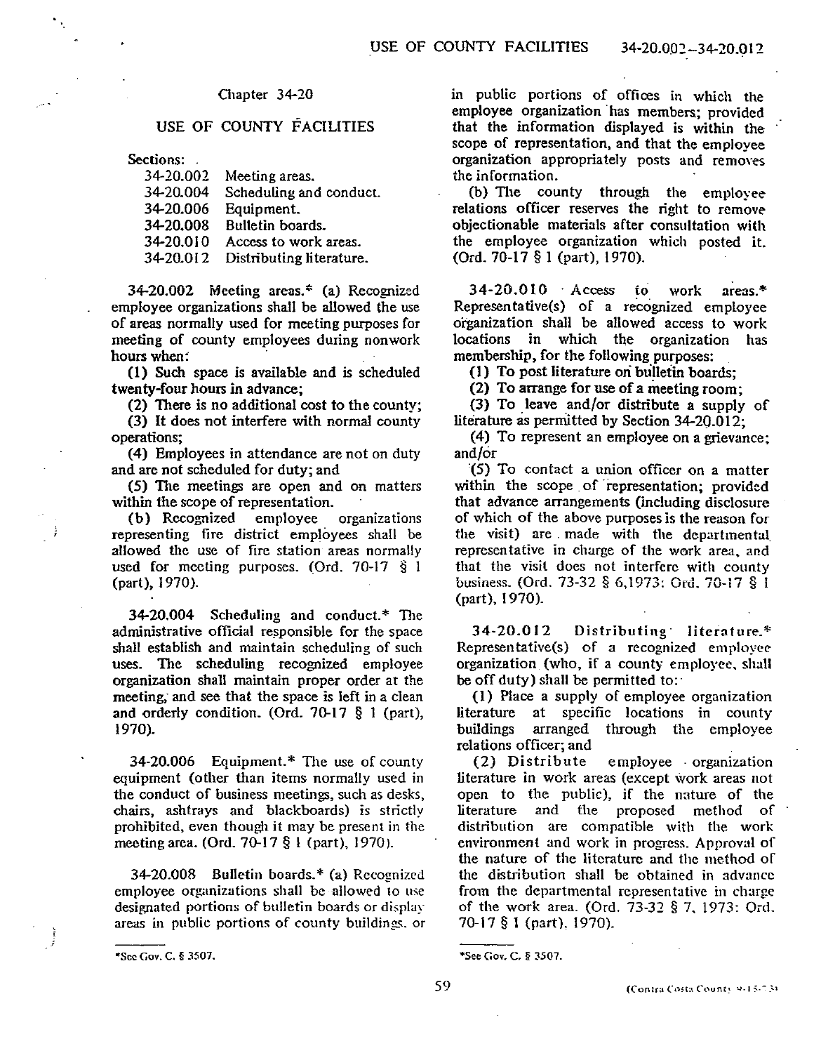# USE OF COUNTY FACILITIES

Sections:

| 34-20.002 | Meeting areas.           |
|-----------|--------------------------|
| 34-20.004 | Scheduling and conduct.  |
| 34-20.006 | Equipment.               |
| 34-20.008 | Bulletin boards.         |
| 34-20.010 | Access to work areas.    |
| 34-20.012 | Distributing literature. |

34-20.002 Meeting areas.\* (a) Recognized employee organizations shall be allowed the use of areas normally used for meeting purposes for meeting of county employees during nonwork hours when:

(1) Such space is available and is scheduled twenty-four hours in advance;

(2) There is no additional cost to the county; (3) It does not interfere with normal county

operations; (4) Employees in attendance are not on duty

and are not scheduled for duty; and

(5) The meetings are open and on matters within the scope of representation.

(b) Recognized employee organizations representing fire district employees shall be allowed the use of fire station areas normally used for meeting purposes. (Ord.  $70-17$   $\S$  1 (part), 1970).

34-20.004 Scheduling and conduct.\* The administrative official responsible for the space shall establish and maintain scheduling of such uses. The scheduling recognized employee organization shall maintain proper order at the meeting, and see that the space is left in a clean and orderly condition. (Ord.  $70-17$  § 1 (part), 1970).

34-20.006 Equipment.\* The use of county equipment (other than items normally used in the conduct of business meetings, such as desks, chairs, ashtrays and blackboards) is strictly prohibited, even though it may be present in the meeting area. (Ord. 70-17 § 1 (part), 1970).

34-20.008 Bulletin boards.\* (a) Recognized employee organizations shall be allowed to use designated portions of bulletin boards or display areas in public portions of county buildings, or in public portions of offices in which the employee organization has members: provided that the information displayed is within the scope of representation, and that the emplovee organization appropriately posts and removes the information.

(b) The county through the employee relations officer reserves the right to remove objectionable materials after consultation with the employee organization which posted it. (Ord. 70-17 § 1 (part), 1970).

34-20.010 Access to  $area:$ \* work Representative(s) of a recognized employee organization shall be allowed access to work locations in which the organization has membership, for the following purposes:

(1) To post literature on bulletin boards:

(2) To arrange for use of a meeting room;

(3) To leave and/or distribute a supply of literature as permitted by Section  $34-20.012$ :

(4) To represent an employee on a grievance: and/or

(5) To contact a union officer on a matter within the scope of representation; provided that advance arrangements (including disclosure of which of the above purposes is the reason for the visit) are made with the departmental representative in charge of the work area, and that the visit does not interfere with county business. (Ord. 73-32 § 6,1973: Ord. 70-17 § 1 (part), 1970).

34-20.012 Distributing literature.\* Representative(s) of a recognized employee organization (who, if a county employee, shall be off duty) shall be permitted to:

(1) Place a supply of employee organization literature at specific locations in county arranged through the employee buildings relations officer; and

(2) Distribute employee organization literature in work areas (except work areas not open to the public), if the nature of the literature and the proposed method of distribution are compatible with the work environment and work in progress. Approval of the nature of the literature and the method of the distribution shall be obtained in advance from the departmental representative in charge of the work area. (Ord. 73-32 § 7, 1973: Ord. 70-17 § 1 (part), 1970).

<sup>\*</sup>See Gov. C. § 3507.

<sup>\*</sup>See Gov. C. § 3507.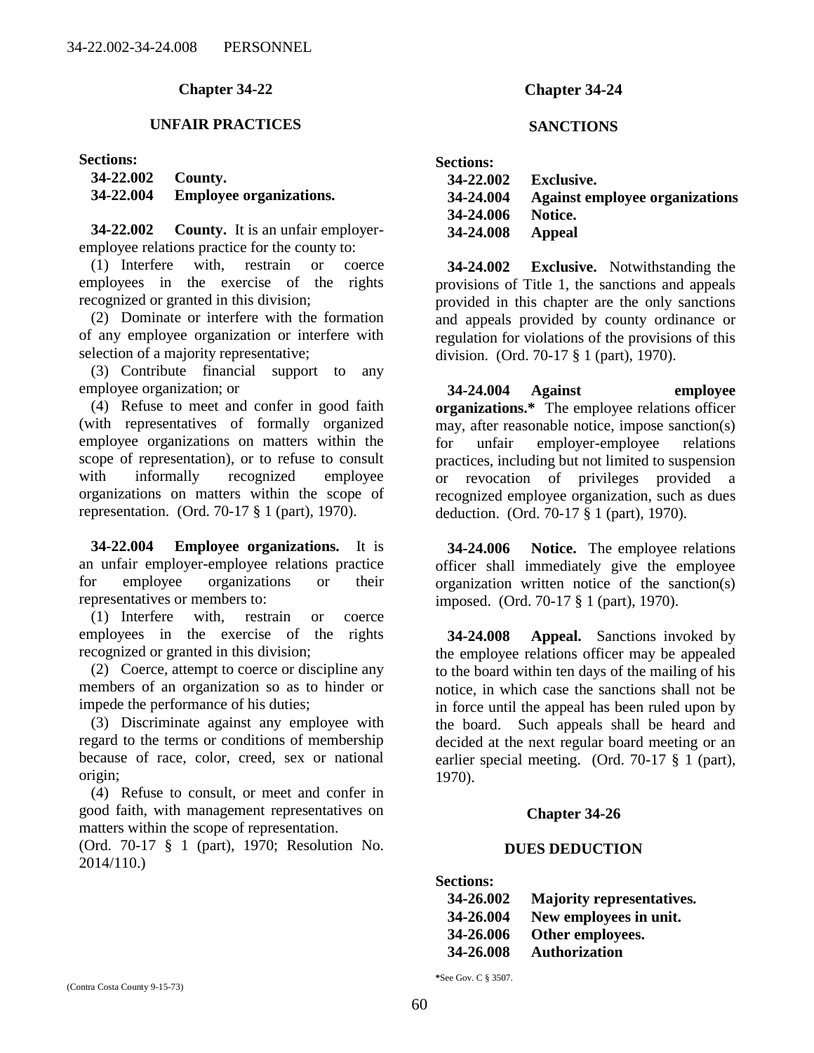# **UNFAIR PRACTICES**

### **Sections:**

| 34-22.002 County. |                                |
|-------------------|--------------------------------|
| 34-22.004         | <b>Employee organizations.</b> |

**34-22.002 County.** It is an unfair employeremployee relations practice for the county to:

(1) Interfere with, restrain or coerce employees in the exercise of the rights recognized or granted in this division;

(2) Dominate or interfere with the formation of any employee organization or interfere with selection of a majority representative;

(3) Contribute financial support to any employee organization; or

(4) Refuse to meet and confer in good faith (with representatives of formally organized employee organizations on matters within the scope of representation), or to refuse to consult with informally recognized employee organizations on matters within the scope of representation. (Ord. 70-17 § 1 (part), 1970).

**34-22.004 Employee organizations.** It is an unfair employer-employee relations practice for employee organizations or their representatives or members to:

(1) Interfere with, restrain or coerce employees in the exercise of the rights recognized or granted in this division;

(2) Coerce, attempt to coerce or discipline any members of an organization so as to hinder or impede the performance of his duties;

(3) Discriminate against any employee with regard to the terms or conditions of membership because of race, color, creed, sex or national origin;

(4) Refuse to consult, or meet and confer in good faith, with management representatives on matters within the scope of representation.

(Ord. 70-17 § 1 (part), 1970; Resolution No. 2014/110.)

# **Chapter 34-24**

# **SANCTIONS**

| <b>Sections:</b> |                                       |
|------------------|---------------------------------------|
| 34-22.002        | Exclusive.                            |
| 34-24.004        | <b>Against employee organizations</b> |
| 34-24.006        | Notice.                               |
| 34-24.008        | Appeal                                |

**34-24.002 Exclusive.** Notwithstanding the provisions of Title 1, the sanctions and appeals provided in this chapter are the only sanctions and appeals provided by county ordinance or regulation for violations of the provisions of this division. (Ord. 70-17 § 1 (part), 1970).

**34-24.004 Against employee organizations.\*** The employee relations officer may, after reasonable notice, impose sanction(s) for unfair employer-employee relations practices, including but not limited to suspension or revocation of privileges provided a recognized employee organization, such as dues deduction. (Ord. 70-17 § 1 (part), 1970).

**34-24.006 Notice.** The employee relations officer shall immediately give the employee organization written notice of the sanction(s) imposed. (Ord. 70-17 § 1 (part), 1970).

**34-24.008 Appeal.** Sanctions invoked by the employee relations officer may be appealed to the board within ten days of the mailing of his notice, in which case the sanctions shall not be in force until the appeal has been ruled upon by the board. Such appeals shall be heard and decided at the next regular board meeting or an earlier special meeting. (Ord. 70-17 § 1 (part), 1970).

# **Chapter 34-26**

# **DUES DEDUCTION**

**Sections:**

| 34-26.002 | <b>Majority representatives.</b> |
|-----------|----------------------------------|
| 34-26.004 | New employees in unit.           |
| 34-26.006 | Other employees.                 |
| 34-26.008 | <b>Authorization</b>             |

**\***See Gov. C § 3507.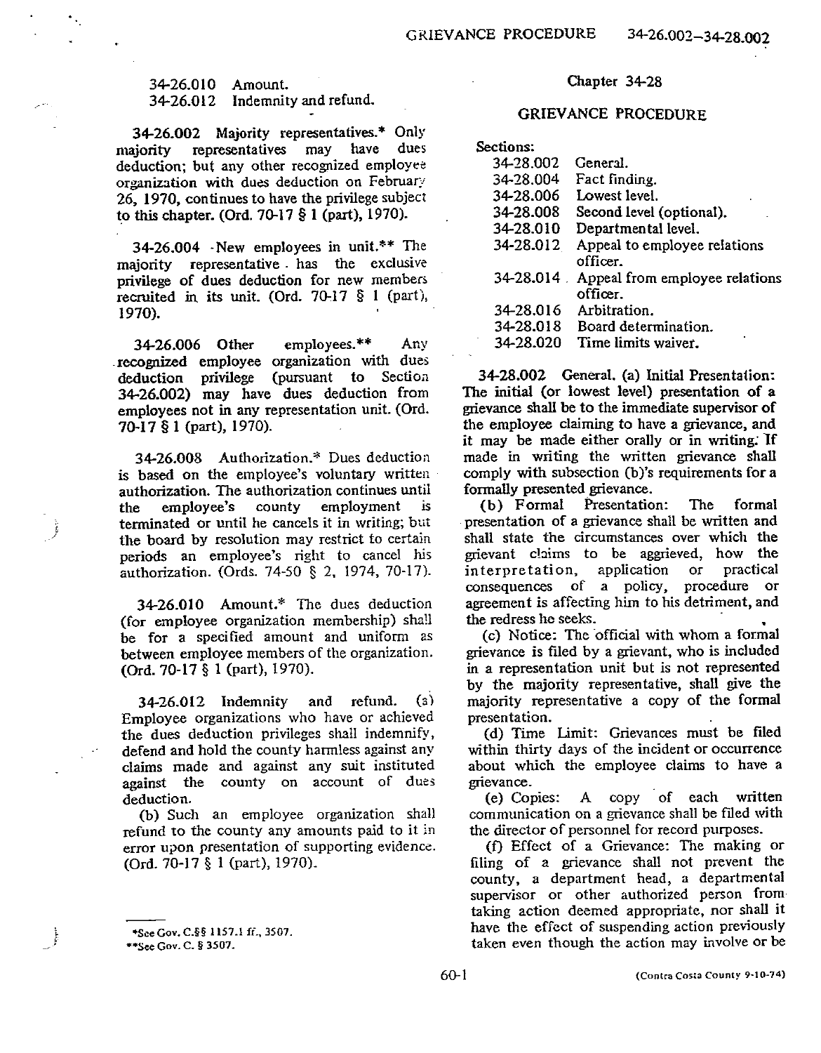34-26.010 Amount. 34-26.012 Indemnity and refund.

34-26.002 Majority representatives.\* Only representatives may have dues maiority deduction; but any other recognized employee organization with dues deduction on February 26, 1970, continues to have the privilege subject to this chapter. (Ord. 70-17  $\S 1$  (part), 1970).

34-26.004 New employees in unit.\*\* The majority representative has the exclusive privilege of dues deduction for new members recruited in its unit. (Ord. 70-17 § 1 (part), 1970).

34-26.006 Other employees. $**$ Anv recognized employee organization with dues deduction privilege (pursuant to Section 34-26.002) may have dues deduction from employees not in any representation unit. (Ord. 70-17 § 1 (part), 1970).

34-26.008 Authorization.\* Dues deduction is based on the employee's voluntary written authorization. The authorization continues until employee's county employment ìс. the terminated or until he cancels it in writing; but the board by resolution may restrict to certain periods an employee's right to cancel his authorization. (Ords. 74-50 § 2, 1974, 70-17).

34-26.010 Amount.\* The dues deduction (for employee organization membership) shall be for a specified amount and uniform as between employee members of the organization. (Ord. 70-17 § 1 (part), 1970).

34-26.012 Indemnity and refund.  $(a)$ Employee organizations who have or achieved the dues deduction privileges shall indemnify, defend and hold the county harmless against any claims made and against any suit instituted against the county on account of dues deduction.

(b) Such an employee organization shall refund to the county any amounts paid to it in error upon presentation of supporting evidence. (Ord. 70-17 § 1 (part), 1970).

#### Chapter 34-28

## **GRIEVANCE PROCEDURE**

| <b>Sections:</b> |                                |
|------------------|--------------------------------|
| 34-28.002        | General.                       |
| 34-28.004        | Fact finding.                  |
| 34-28.006        | Lowest level.                  |
| 34-28.008        | Second level (optional).       |
| 34-28.010        | Departmental level.            |
| 34-28.012        | Appeal to employee relations   |
|                  | officer.                       |
| 34-28.014.       | Appeal from employee relations |
|                  | officer.                       |
| 34-28.016        | Arbitration.                   |
| 34-28.018        | Board determination.           |
| 34-28.020        | Time limits waiver.            |

34-28.002 General. (a) Initial Presentation: The initial (or lowest level) presentation of a grievance shall be to the immediate supervisor of the employee claiming to have a grievance, and it may be made either orally or in writing. If made in writing the written grievance shall comply with subsection (b)'s requirements for a formally presented grievance.

(b) Formal Presentation: The formal presentation of a grievance shall be written and shall state the circumstances over which the grievant claims to be aggrieved, how the interpretation, application  $or$ practical consequences of a policy, procedure or agreement is affecting him to his detriment, and the redress he seeks.

(c) Notice: The official with whom a formal grievance is filed by a grievant, who is included in a representation unit but is not represented by the majority representative, shall give the majority representative a copy of the formal presentation.

(d) Time Limit: Grievances must be filed within thirty days of the incident or occurrence about which the employee claims to have a grievance.

A copy of each written (e) Copies: communication on a grievance shall be filed with the director of personnel for record purposes.

(f) Effect of a Grievance: The making or filing of a grievance shall not prevent the county, a department head, a departmental supervisor or other authorized person from taking action deemed appropriate, nor shall it have the effect of suspending action previously taken even though the action may involve or be

<sup>\*</sup>See Gov. C.§§ 1157.1 ff., 3507.

<sup>\*\*</sup>See Gov. C. § 3507.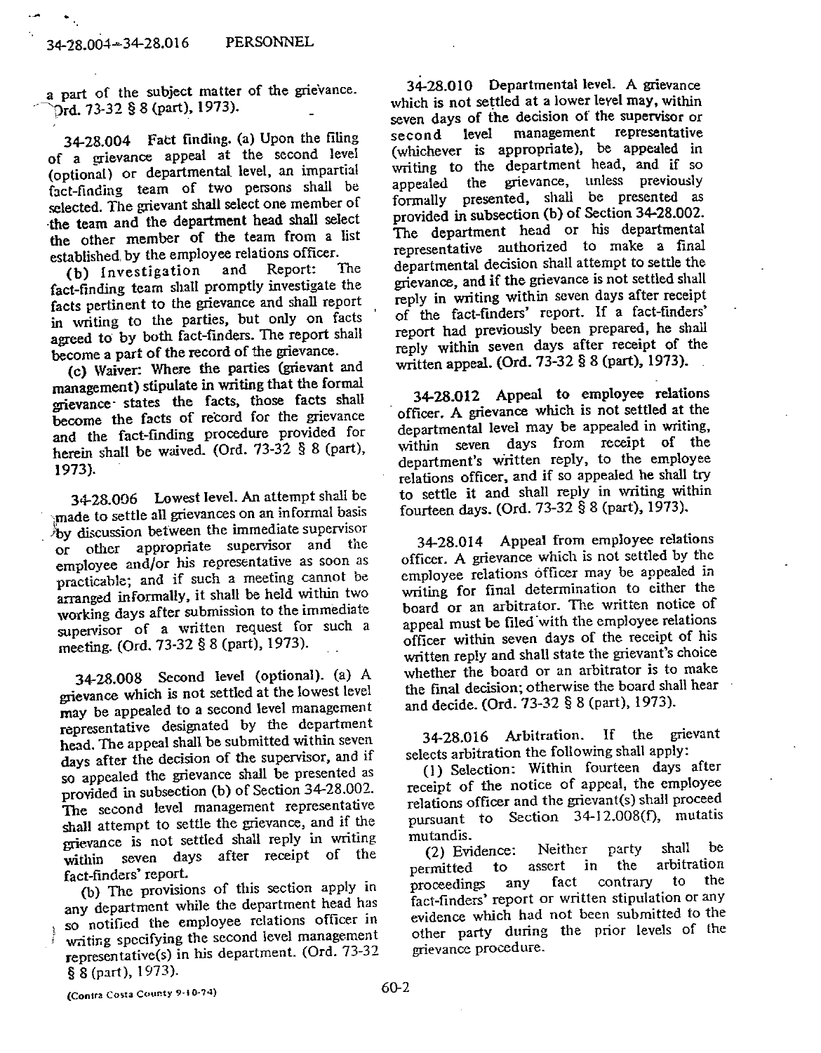$\overline{\phantom{a}}$ 

a part of the subject matter of the grievance. Drd. 73-32 § 8 (part), 1973).

34-28.004 Fact finding. (a) Upon the filing of a grievance appeal at the second level (optional) or departmental level, an impartial fact-finding team of two persons shall be selected. The grievant shall select one member of the team and the department head shall select the other member of the team from a list established by the employee relations officer.

(b) Investigation and Report: The fact-finding team shall promptly investigate the facts pertinent to the grievance and shall report in writing to the parties, but only on facts agreed to by both fact-finders. The report shall become a part of the record of the grievance.

(c) Waiver: Where the parties (grievant and management) stipulate in writing that the formal grievance states the facts, those facts shall become the facts of record for the grievance and the fact-finding procedure provided for herein shall be waived. (Ord. 73-32 § 8 (part), 1973).

34-28.006 Lowest level. An attempt shall be made to settle all grievances on an informal basis by discussion between the immediate supervisor or other appropriate supervisor and the employee and/or his representative as soon as practicable; and if such a meeting cannot be arranged informally, it shall be held within two working days after submission to the immediate supervisor of a written request for such a meeting. (Ord. 73-32 § 8 (part), 1973).

34-28.008 Second level (optional). (a) A grievance which is not settled at the lowest level may be appealed to a second level management representative designated by the department head. The appeal shall be submitted within seven days after the decision of the supervisor, and if so appealed the grievance shall be presented as provided in subsection (b) of Section 34-28.002. The second level management representative shall attempt to settle the grievance, and if the grievance is not settled shall reply in writing within seven days after receipt of the fact-finders' report.

(b) The provisions of this section apply in any department while the department head has so notified the employee relations officer in writing specifying the second level management representative(s) in his department. (Ord. 73-32 § 8 (part), 1973).

34-28.010 Departmental level. A grievance which is not settled at a lower level may, within seven days of the decision of the supervisor or management representative second level (whichever is appropriate), be appealed in writing to the department head, and if so appealed the grievance, unless previously formally presented, shall be presented as provided in subsection (b) of Section 34-28.002. The department head or his departmental representative authorized to make a final departmental decision shall attempt to settle the grievance, and if the grievance is not settled shall reply in writing within seven days after receipt of the fact-finders' report. If a fact-finders' report had previously been prepared, he shall reply within seven days after receipt of the written appeal. (Ord. 73-32 § 8 (part), 1973).

34-28.012 Appeal to employee relations officer. A grievance which is not settled at the departmental level may be appealed in writing. within seven days from receipt of the department's written reply, to the employee relations officer, and if so appealed he shall try to settle it and shall reply in writing within fourteen days. (Ord. 73-32 § 8 (part), 1973).

34-28.014 Appeal from employee relations officer. A grievance which is not settled by the employee relations officer may be appealed in writing for final determination to either the board or an arbitrator. The written notice of appeal must be filed with the employee relations officer within seven days of the receipt of his written reply and shall state the grievant's choice whether the board or an arbitrator is to make the final decision; otherwise the board shall hear and decide. (Ord. 73-32 § 8 (part), 1973).

If the grievant 34-28.016 Arbitration. selects arbitration the following shall apply:

(1) Selection: Within fourteen days after receipt of the notice of appeal, the employee relations officer and the grievant(s) shall proceed pursuant to Section 34-12.008(f), mutatis mutandis.

shall he (2) Evidence: Neither party assert in the arbitration  $\mathbf{t}$ permitted to the contrary any fact proceedings fact-finders' report or written stipulation or any evidence which had not been submitted to the other party during the prior levels of the grievance procedure.

(Contra Costa County 9-10-74)